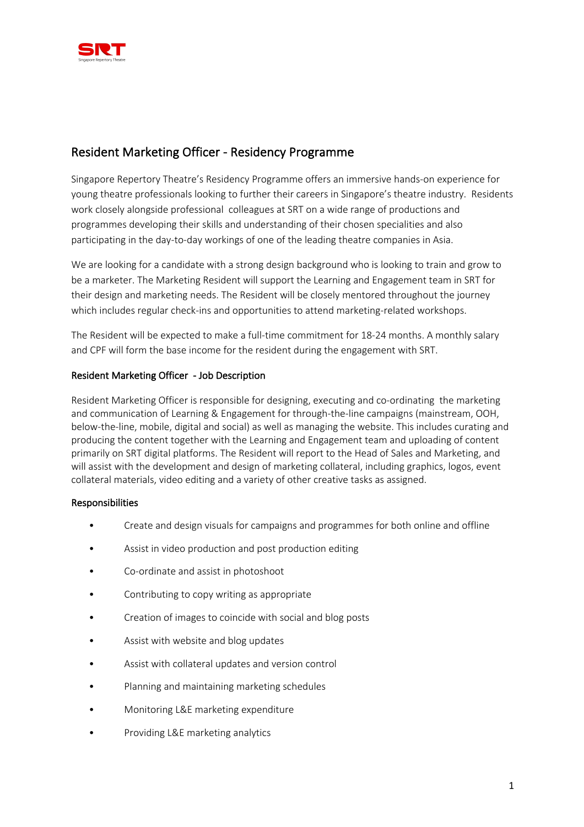

# Resident Marketing Officer - Residency Programme

Singapore Repertory Theatre's Residency Programme offers an immersive hands-on experience for young theatre professionals looking to further their careers in Singapore's theatre industry. Residents work closely alongside professional colleagues at SRT on a wide range of productions and programmes developing their skills and understanding of their chosen specialities and also participating in the day-to-day workings of one of the leading theatre companies in Asia.

We are looking for a candidate with a strong design background who is looking to train and grow to be a marketer. The Marketing Resident will support the Learning and Engagement team in SRT for their design and marketing needs. The Resident will be closely mentored throughout the journey which includes regular check-ins and opportunities to attend marketing-related workshops.

The Resident will be expected to make a full-time commitment for 18-24 months. A monthly salary and CPF will form the base income for the resident during the engagement with SRT.

### Resident Marketing Officer - Job Description

Resident Marketing Officer is responsible for designing, executing and co-ordinating the marketing and communication of Learning & Engagement for through-the-line campaigns (mainstream, OOH, below-the-line, mobile, digital and social) as well as managing the website. This includes curating and producing the content together with the Learning and Engagement team and uploading of content primarily on SRT digital platforms. The Resident will report to the Head of Sales and Marketing, and will assist with the development and design of marketing collateral, including graphics, logos, event collateral materials, video editing and a variety of other creative tasks as assigned.

### Responsibilities

- Create and design visuals for campaigns and programmes for both online and offline
- Assist in video production and post production editing
- Co-ordinate and assist in photoshoot
- Contributing to copy writing as appropriate
- Creation of images to coincide with social and blog posts
- Assist with website and blog updates
- Assist with collateral updates and version control
- Planning and maintaining marketing schedules
- Monitoring L&E marketing expenditure
- Providing L&E marketing analytics